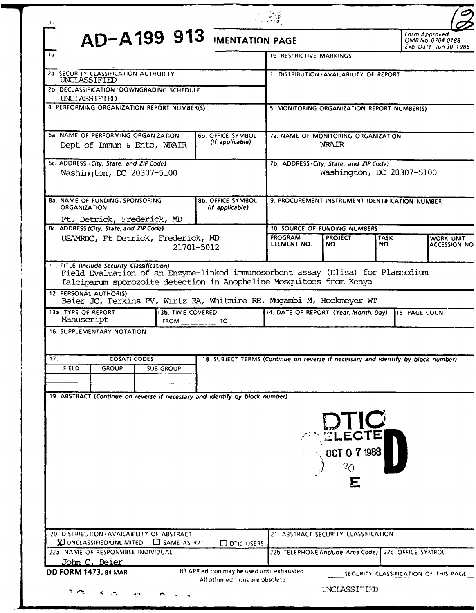| ع کیا                                                                                                                                                                                                                                                                                                                                                                                                                                                                                                                                |                                                                                                                                                                          |                                                              |  |  |  |
|--------------------------------------------------------------------------------------------------------------------------------------------------------------------------------------------------------------------------------------------------------------------------------------------------------------------------------------------------------------------------------------------------------------------------------------------------------------------------------------------------------------------------------------|--------------------------------------------------------------------------------------------------------------------------------------------------------------------------|--------------------------------------------------------------|--|--|--|
| AD-A199 913 IMENTATION PAGE                                                                                                                                                                                                                                                                                                                                                                                                                                                                                                          |                                                                                                                                                                          | Form Approved<br>OMB No 0704-0188<br>Exp. Date: Jun 30, 1986 |  |  |  |
| 1a                                                                                                                                                                                                                                                                                                                                                                                                                                                                                                                                   | <b>1b RESTRICTIVE MARKINGS</b>                                                                                                                                           |                                                              |  |  |  |
| 2a SECURITY CLASSIFICATION AUTHORITY<br>UNCLASSIFIED                                                                                                                                                                                                                                                                                                                                                                                                                                                                                 | 3 DISTRIBUTION/AVAILABILITY OF REPORT                                                                                                                                    |                                                              |  |  |  |
| 2b DECLASSIFICATION / DOWNGRADING SCHEDULE                                                                                                                                                                                                                                                                                                                                                                                                                                                                                           |                                                                                                                                                                          |                                                              |  |  |  |
| UNCLASSIFIED<br>4 PERFORMING ORGANIZATION REPORT NUMBER(S)                                                                                                                                                                                                                                                                                                                                                                                                                                                                           | 5. MONITORING ORGANIZATION REPORT NUMBER(S)                                                                                                                              |                                                              |  |  |  |
|                                                                                                                                                                                                                                                                                                                                                                                                                                                                                                                                      |                                                                                                                                                                          |                                                              |  |  |  |
| 6a NAME OF PERFORMING ORGANIZATION<br>6b. OFFICE SYMBOL<br>(If applicable)<br>Dept of Immun & Ento, WRAIR                                                                                                                                                                                                                                                                                                                                                                                                                            | 7a. NAME OF MONITORING ORGANIZATION<br>WRAIR                                                                                                                             |                                                              |  |  |  |
| 6c. ADDRESS (City, State, and ZIP Code)<br>Washington, DC 20307-5100                                                                                                                                                                                                                                                                                                                                                                                                                                                                 | 7b. ADDRESS (City, State, and ZIP Code)<br>Washington, DC 20307-5100                                                                                                     |                                                              |  |  |  |
| <b>8b. OFFICE SYMBOL</b><br>8a. NAME OF FUNDING / SPONSORING<br>(If applicable)<br><b>ORGANIZATION</b><br>Ft. Detrick, Frederick, MD                                                                                                                                                                                                                                                                                                                                                                                                 | 9. PROCUREMENT INSTRUMENT IDENTIFICATION NUMBER                                                                                                                          |                                                              |  |  |  |
| 8c. ADDRESS (City, State, and ZIP Code)                                                                                                                                                                                                                                                                                                                                                                                                                                                                                              | <b>10. SOURCE OF FUNDING NUMBERS</b>                                                                                                                                     |                                                              |  |  |  |
| USAMRDC, Ft Detrick, Frederick, MD<br>21701-5012                                                                                                                                                                                                                                                                                                                                                                                                                                                                                     | <b>PROGRAM</b><br><b>PROJECT</b><br>ELEMENT NO.<br>NO.                                                                                                                   | <b>TASK</b><br>WORK UNIT<br>NO.<br><b>ACCESSION NO</b>       |  |  |  |
| Field Evaluation of an Enzyme-linked immunosorbent assay (Elisa) for Plasmodium<br>falciparum sporozoite detection in Anopheline Mosquitoes from Kenva<br>12. PERSONAL AUTHOR(S)<br>Beier JC, Perkins PV, Wirtz RA, Whitmire RE, Mugambi M, Hockmeyer WT<br>13a. TYPE OF REPORT<br>13b TIME COVERED<br>Manuscript<br>FROM __<br>TO I<br><b>16. SUPPLEMENTARY NOTATION</b><br><b>COSATI CODES</b><br>17.<br>FIELD<br><b>GROUP</b><br><b>SUB-GROUP</b><br>19. ABSTRACT (Continue on reverse if necessary and identify by block number) | 14. DATE OF REPORT (Year, Month, Day)<br>18. SUBJECT TERMS (Continue on reverse if necessary and identify by block number)<br><b>POTIC</b><br>$\sim$ OCT 0 7 1988 $\mid$ | 15. PAGE COUNT                                               |  |  |  |
| 20 DISTRIBUTION / AVAILABILITY OF ABSTRACT<br><b>ED UNCLASSIFIED/UNLIMITED CD</b> SAME AS RPT<br><b>ODTIC USERS</b><br>22a NAME OF RESPONSIBLE INDIVIDUAL<br><u> John C. Beier</u><br>83 APR edition may be used until exhausted<br>DD FORM 1473, 84 MAR                                                                                                                                                                                                                                                                             | E<br>21 ABSTRACT SECURITY CLASSIFICATION<br>22b TELEPHONE (Include Area Code)   22c. OFFICE SYMBOL                                                                       |                                                              |  |  |  |
| All other editions are obsolete                                                                                                                                                                                                                                                                                                                                                                                                                                                                                                      | UNCLASSIFIED                                                                                                                                                             | SECURITY CLASSIFICATION OF THIS PAGE                         |  |  |  |
| ت د<br>4<br>-77                                                                                                                                                                                                                                                                                                                                                                                                                                                                                                                      |                                                                                                                                                                          |                                                              |  |  |  |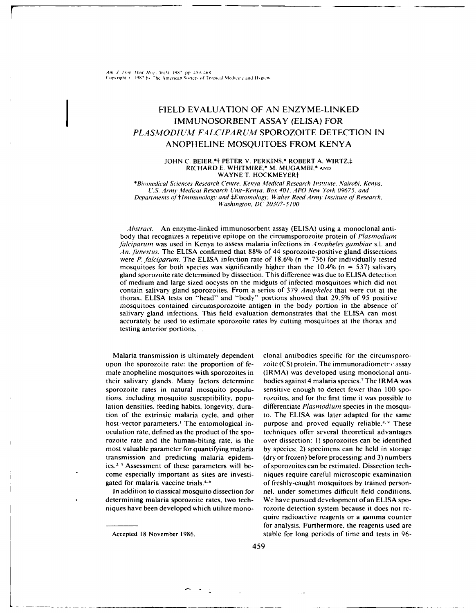Am J. Fron Med Hyp. 36(3) 1987 pp. 459-468 Copyright < 1987 by The American Society of Tropical Medicine and Hygiene

# FIELD EVALUATION OF AN ENZYME-LINKED **IMMUNOSORBENT ASSAY (ELISA) FOR** PLASMODIUM FALCIPARUM SPOROZOITE DETECTION IN ANOPHELINE MOSOUITOES FROM KENYA

### JOHN C. BEIER,\*† PETER V. PERKINS,\* ROBERT A. WIRTZ,‡ RICHARD E. WHITMIRE,\* M. MUGAMBI,\* AND WAYNE T. HOCKMEYER+

\*Biomedical Sciences Research Centre, Kenya Medical Research Institute, Nairobi, Kenya, U.S. Army Medical Research Unit-Kenya, Box 401, APO New York 09675, and Departments of †Immunology and ‡Entomology, Walter Reed Army Institute of Research. Washington, DC 20307-5100

Abstract. An enzyme-linked immunosorbent assay (ELISA) using a monoclonal antibody that recognizes a repetitive epitope on the circumsporozoite protein of Plasmodium falciparum was used in Kenya to assess malaria infections in Anopheles gambiae s.l. and An, funesties. The ELISA confirmed that 88% of 44 sporozoite-positive gland dissections were P. falciparum. The ELISA infection rate of 18.6% ( $n = 736$ ) for individually tested mosquitoes for both species was significantly higher than the 10.4% ( $n = 537$ ) salivary gland sporozoite rate determined by dissection. This difference was due to ELISA detection of medium and large sized oocysts on the midguts of infected mosquitoes which did not contain salivary gland sporozoites. From a series of 379 Anopheles that were cut at the thorax, ELISA tests on "head" and "body" portions showed that 29.5% of 95 positive mosquitoes contained circumsporozoite antigen in the body portion in the absence of salivary gland infections. This field evaluation demonstrates that the ELISA can most accurately be used to estimate sporozoite rates by cutting mosquitoes at the thorax and testing anterior portions.

Malaria transmission is ultimately dependent upon the sporozoite rate: the proportion of female anopheline mosquitoes with sporozoites in their salivary glands. Many factors determine sporozoite rates in natural mosquito populations, including mosquito susceptibility, population densities, feeding habits, longevity, duration of the extrinsic malaria cycle, and other host-vector parameters.<sup>1</sup> The entomological inoculation rate, defined as the product of the sporozoite rate and the human-biting rate, is the most valuable parameter for quantifying malaria transmission and predicting malaria epidemics.<sup>2,3</sup> Assessment of these parameters will become especially important as sites are investigated for malaria vaccine trials.<sup>4-6</sup>

In addition to classical mosquito dissection for determining malaria sporozoite rates, two techniques have been developed which utilize monoclonal antibodies specific for the circumsporozoite (CS) protein. The immunoradiometric assay (IRMA) was developed using monoclonal antibodies against 4 malaria species.<sup>7</sup> The IRMA was sensitive enough to detect fewer than 100 sporozoites, and for the first time it was possible to differentiate Plasmodium species in the mosquito. The ELISA was later adapted for the same purpose and proved equally reliable.<sup>8, 9</sup> These techniques offer several theoretical advantages over dissection: 1) sporozoites can be identified by species; 2) specimens can be held in storage (dry or frozen) before processing; and 3) numbers of sporozoites can be estimated. Dissection techniques require careful microscopic examination of freshly-caught mosquitoes by trained personnel, under sometimes difficult field conditions. We have pursued development of an ELISA sporozoite detection system because it does not require radioactive reagents or a gamma counter for analysis. Furthermore, the reagents used are stable for long periods of time and tests in 96-

Accepted 18 November 1986.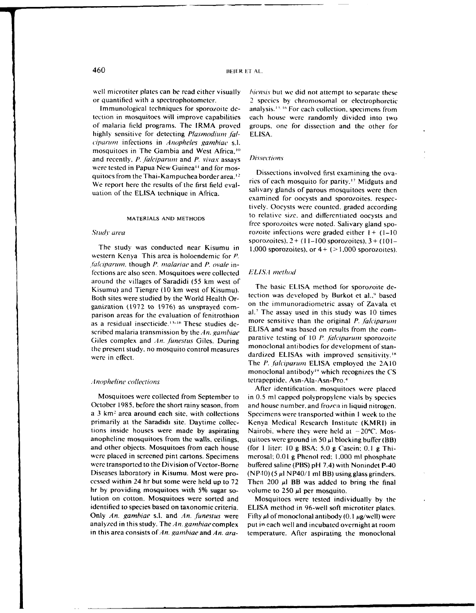tection in mosquitoes will improve capabilities each house were randomly divided into two of malaria field programs. The IRMA proved groups, one for dissection and the other for highly sensitive for detecting *Plasmodium fal*- ELISA. *ciparum* infections in *Anopheles gambiae* s.l. mosquitoes in The Gambia and West Africa,<sup>11</sup> and recently, *P. falciparum* and *P. vivax* assays *Dissections* were tested in Papua New Guinea<sup>11</sup> and for mos-<br>quitoes from the Thai-Kampuchea border area.<sup>12</sup> Dissections involved first examining the ova-<br>We conser has easy the seculta of the first field such and ries of each mosqui

western Kenya This area is holoendemic for P. *.falciparumn.* though P. malariae and P. ovale infections are also seen. Mosquitoes were collected *ELISA method* around the villages of Saradidi (55 km west of  $V$  is the basic ELISA method for sporozoite de-Kisumu) and Tiengre (10 km west of Kisumu).<br>Both sites were studied by the World Health Organization was developed by Burkot et al.,<sup>9</sup> based Both sites were studied by the World Health Organization (1972 **to** 1976) as unsprayed corn- on the immunoradiometric assay of Zavata et parison areas for the evaluation of fenitrothion al.<sup>7</sup> The assay used in this study was 10 times as a residual insecticide.<sup>13-16</sup> These studies de-<br>more sensitive than the original P. *falciparum* scribed malaria transmission by the An. gambiae **ELISA** and was based on results from the com-Giles complex and An. funestus Giles. During parative testing of 10 P. falciparum sporozoite the present study, no mosquito control measures monoclonal antibodies for development of stanwere in effect.

October 1985, before the short rainy season, from and house number, and frozen in liquid nitrogen. a 3 km<sup>2</sup> area around each site, with collections Specimens were transported within I week to the primarily at the Saradidi site. Daytime collec- Kenya Medical Research Institute (KMRI) in tions inside houses were made by aspirating Nairobi, where they were held at  $-20^{\circ}$ C. Mosanopheline mosquitoes from the walls, ceilings, quitoes were ground in 50  $\mu$ l blocking buffer (BB) and other objects. Mosquitoes from each house (for 1 liter: 10 g BSA; 5.0 g Casein; 0.1 g Thiwere placed in screened pint cartons. Specimens merosal, 0.0 **1** g Phenol red, 1,000 ml phosphate were transported to the Division of Vector-Borne buffered saline (PBS) pH 7.4) with Nonindet P-40 Diseases laboratory in Kisumu. Most were pro- (NP40)(5  $\mu$ l NP40/1 ml BB) using glass grinders. cessed within 24 hr but some were held up to  $72$  Then  $200 \mu l$  BB was added to bring the final hr by providing mosquitoes with 5% sugar so- volume to 250 **p1** per mosquito. lution on cotton. Mosquitoes were sorted and Mosquitoes were tested individually by the identified to species based on taxonomic criteria. ELISA method in 96-well soft microtiter plates. Only An. gambiae s.l. and An. funestus were Fifty  $\mu$ l of monoclonal antibody (0.1  $\mu$ g/well) were analyzed in this study. The  $An$ , gamhiae complex put in each well and incubated overnight at room

well microtiter plates can be read either visually *hiensis* but we did not attempt to separate these or quantilied with a spectrophotometer. 2 species by chromosomal or electrophoretic Immunological techniques for sporozoite de- analysis.<sup>13, to</sup> For each collection, specimens from

We report here the results of the first field eval-<br>uation of the ELISA technique in Africa.<br>examined for oocysts and sporozoites, respec-<br>examined for oocysts and sporozoites, respectively. Oocysts were counted, graded according MATERIALS **AND METHODS** to relative size, and differentiated oocysts and free sporozoites were noted. Salivary gland spo-<br>Study area rozoite infections were graded either  $1 + (1-10)$ sporozoites),  $2 + (11 - 100$  sporozoites),  $3 + (101 -$ The study was conducted near Kisumu in  $1,000$  sporozoites), or  $4 + (-1,000$  sporozoites).

The P. falciparum ELISA employed the 2A10 monoclonal antibody" which recognizes the CS *Anopheline collections* tetrapeptide, Asn-Ala-Asn-Pro.<sup>4</sup>

After identification, mosquitoes were placed Mosquitoes were collected from September to in 0.5 ml capped polypropylene vials by species

in this area consists of An. *gambiae* and An. *ara*- temperature. After aspirating the monoclonal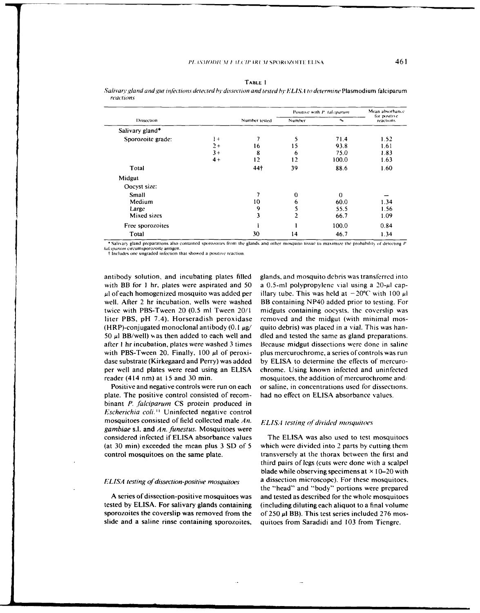|                   |      |                 | Positive with P. Jalciparum | Mean absorbance. |                           |  |
|-------------------|------|-----------------|-----------------------------|------------------|---------------------------|--|
| Dissection        |      | Number tested   | Number                      | $n_{\rm th}$     | for positive<br>reactions |  |
| Salivary gland*   |      |                 |                             |                  |                           |  |
| Sporozoite grade: | $1+$ |                 | 5                           | 71.4             | 1.52                      |  |
|                   | $2+$ | 16              | ۱5                          | 93.8             | 1.61                      |  |
|                   | $3+$ | 8               | 6                           | 75.0             | 1.83                      |  |
|                   | $4+$ | 12              | 12                          | 100.0            | 1.63                      |  |
| Total             |      | 44 <sup>†</sup> | 39                          | 88.6             | 1.60                      |  |
| Midgut            |      |                 |                             |                  |                           |  |
| Oocyst size:      |      |                 |                             |                  |                           |  |
| Small             |      |                 | 0                           | $\Omega$         |                           |  |
| Medium            |      | 10              | 6                           | 60.0             | 1.34                      |  |
| Large             |      | 9               |                             | 55.5             | 1.56                      |  |
| Mixed sizes       |      | 3               | 2                           | 66.7             | 1.09                      |  |
| Free sporozoites  |      |                 |                             | 100.0            | 0.84                      |  |
| Total             |      | 30              | 14                          | 46.7             | 1.34                      |  |

TABLE 1 Salivary gland and gut infections detected by dissection and tested by ELISA to determine Plasmodium falciparum reactions

\* Salivary gland preparations also contained sporozoites from the glands and other mosquito tissue to maximize the probability of detecting P Sacram present proposed antigen.<br>
flequentin circumsporozoite antigen.<br>
I Includes one ungraded infection that showed a positive reaction.

antibody solution, and incubating plates filled with BB for 1 hr, plates were aspirated and 50  $\mu$ l of each homogenized mosquito was added per well. After 2 hr incubation, wells were washed twice with PBS-Tween 20 (0.5 ml Tween 20/1 liter PBS, pH 7.4). Horseradish peroxidase (HRP)-conjugated monoclonal antibody (0.1  $\mu$ g/ 50  $\mu$ l BB/well) was then added to each well and after 1 hr incubation, plates were washed 3 times with PBS-Tween 20. Finally,  $100 \mu l$  of peroxidase substrate (Kirkegaard and Perry) was added per well and plates were read using an ELISA reader (414 nm) at 15 and 30 min.

Positive and negative controls were run on each plate. The positive control consisted of recombinant P. falciparum CS protein produced in Escherichia coli.<sup>11</sup> Uninfected negative control mosquitoes consisted of field collected male  $An$ . gambiae s.l. and An. funestus. Mosquitoes were considered infected if ELISA absorbance values (at 30 min) exceeded the mean plus 3 SD of 5 control mosquitoes on the same plate.

### ELISA testing of dissection-positive mosquitoes

A series of dissection-positive mosquitoes was tested by ELISA. For salivary glands containing sporozoites the coverslip was removed from the slide and a saline rinse containing sporozoites, glands, and mosquito debris was transferred into a 0.5-ml polypropylene vial using a  $20-\mu$  capillary tube. This was held at  $-20^{\circ}$ C with 100  $\mu$ l BB containing NP40 added prior to testing. For midguts containing oocysts, the coverslip was removed and the midgut (with minimal mosquito debris) was placed in a vial. This was handled and tested the same as gland preparations. Because midgut dissections were done in saline plus mercurochrome, a series of controls was run by ELISA to determine the effects of mercurochrome. Using known infected and uninfected mosquitoes, the addition of mercurochrome and/ or saline, in concentrations used for dissections. had no effect on ELISA absorbance values.

### ELISA testing of divided mosquitoes

The ELISA was also used to test mosquitoes which were divided into 2 parts by cutting them transversely at the thorax between the first and third pairs of legs (cuts were done with a scalpel blade while observing specimens at  $\times$  10–20 with a dissection microscope). For these mosquitoes, the "head" and "body" portions were prepared and tested as described for the whole mosquitoes (including diluting each aliquot to a final volume) of 250  $\mu$ l BB). This test series included 276 mosquitoes from Saradidi and 103 from Tiengre.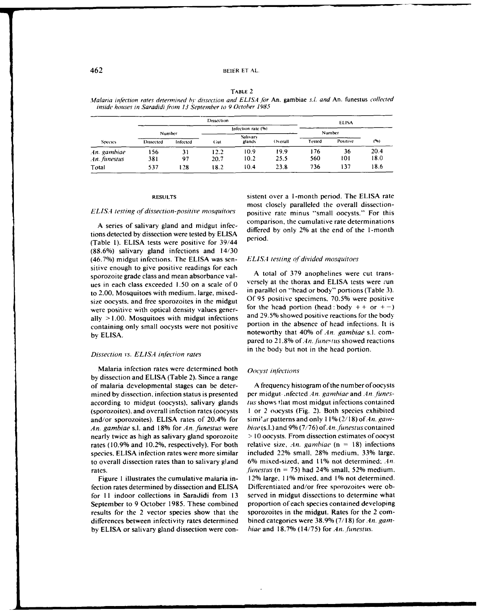## 462 BEIER ET AL.

TABLE 2

Malaria inf'ction rates determined *hr* dissection and ELISA *obr* An. gambiae s.1 and An. funestus collected inside houses in Saradidi from 13 September to 9 October 1985

|                             | Dissection                      |          |                    |                           |         | <b>ELISA</b>       |     |      |
|-----------------------------|---------------------------------|----------|--------------------|---------------------------|---------|--------------------|-----|------|
|                             |                                 |          | Infection rate (%) |                           |         | Number             |     |      |
| <b>Species</b>              | Number<br>Infected<br>Dissected |          | Gut                | <b>Salivary</b><br>glands | Overall | Positive<br>Tested |     | (96) |
|                             |                                 |          |                    | 10.9                      | 19.9    | 176                | 36  | 20.4 |
| An. gambiae<br>An. funestus | 156<br>381                      | 31<br>97 | 12.2<br>20.7       | 10.2                      | 25.5    | 560                | 101 | 18.0 |
| Total                       | 537                             | 128      | 18.2               | 10.4                      | 23.8    | 736                | 137 | 18.6 |

tions detected by dissection were tested by ELISA (Table 1). ELISA tests were positive for 39/44 period. (88.6%) salivary gland infections and 14/30 (46.7%) midgut infections. The **ELISA** was sen- **EL15.1** testing *of* divided mosquitoes sitive enough to give positive readings for each sporozoite grade class and mean absorbance val-<br>sporozoite grade class and mean absorbance val-<br>use in each class axes and a sole of 0. Netsely at the thorax and ELISA tests were run ues in each class exceeded  $1.50$  on a scale of 0 to 2.00. Mosquitoes with medium, large, mixed- in parallel on "head or body" portions (Table **3).** size oocysts, and free sporozoites in the midgut Of 95 positive specimens, 70.5% were positive were positive with optical density values gener-<br>ally  $> 1.00$ . Mosquitose with midsul infections and 29.5% showed positive reactions for the body ally >1.00. Mosquitoes with midgut infections and 29.5% showed positive reactions for the body<br>containing only small occusts were not positive portion in the absence of head infections. It is containing only small oocysts were not positive by ELISA.  $\frac{1}{2}$  containing  $\frac{1}{2}$  containing  $\frac{1}{2}$  contains that 40% of An. gambiae s.l. com-

Malaria infection rates were determined both  $Oocyst$  infections by dissection and ELISA (Table 2). Since a range of malaria developmental stages can be deter- A frequency histogram ofthe number ofoocysts mined by dissection, infection status is presented per midgut , infected An. gambiae and An. funesaccording to midgut (oocysts), salivary glands *tus* shows that most midgut infections contained (sporozoites), and overall infection rates (oocysts **I** or 2 oocysts (Fig. 2). Both species exhibited and/or sporozoites). ELISA rates of 20.4% for simi' ar patterns and only  $11\%$  (2/18) of An. gam-An. gambiae s.l. and 18% for *An.* funestus were *biae(s.l.)and* 9%(7/76) *ofAn.* funestus contained nearly twice as high as salivary gland sporozoite **>** 10 oocysts. From dissection estimates of oocyst rates (10.9% and 10.2%, respectively). For both relative size, *An.* gambiae (n = 18) infections species, ELISA infection rates were more similar included 22% small. **28%** medium, 33% large, to overall dissection rates than to salivary gland 6% mixed-sized, and **110%** not determined: **An.** rates. *funestus* (n = 75) had 24% small. 52% medium.

fection rates determined by dissection and ELISA Differentiated and/or free sporozoites were obfor **II** indoor collections in Saradidi from 13 served in midgut dissections to determine what September to 9 October 1985. These combined proportion of each species contained developing results for the 2 vector species show that the sporozoites in the midgut. Rates for the 2 comdifferences between infectivity rates determined bined categories were 38.9% (7/18) for *An. gam*by ELISA or salivary gland dissection were con- *hiae* and 18.7% (14/75) for An..funestus.

**RESULTS** sistent over a 1-month period. The ELISA rate most closely paralleled the overall dissection-*ELISA* testing *of* dissection-positive mosquitoes positive rate minus "small oocysts." For this A series of salivary gland and midgut infec-<br>A series of salivary gland and midgut infec-<br> $\frac{1}{\sqrt{N}}$  and the 2% at the 1-month of the 1-month of the 1-month 1-month 1-month 1-month 1-month 1-month 1-month 1-month 1-month differed by only 2% at the end of the 1-month

pared to 21.8% of An. funestus showed reactions in the body but not in the head portion. Dissection *vs.* ELLS,4 infection rates

Figure 1 illustrates the cumulative malaria in- 12% large, 11% mixed, and **1%** not determined.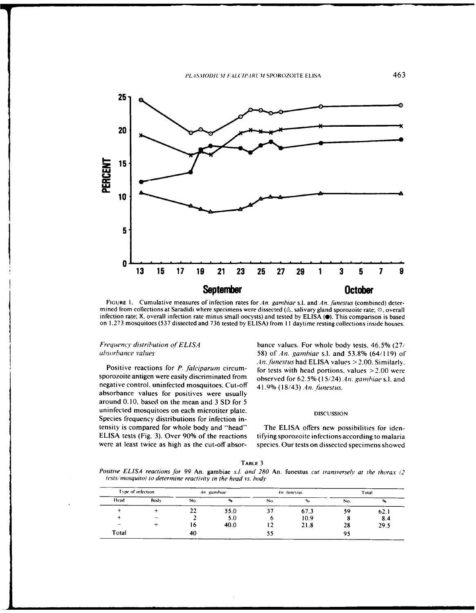

**FIGURE I.** Cumulative measures of infection rates for An. gambiae s.l. and An. funestus (combined) determined from collections at Saradidi where specimens were dissected ( $\triangle$ , salivary gland sporozoite rate;  $\heartsuit$ , overall infection rate minus small oocysts) and tested by ELISA ( $\heartsuit$ ). This comparison is based on 1.273 mosquitoes (537 dissected and 736 tested by ELISA) from 11 daytime resting collections inside houses.

sporozoite antigen were easily discriminated from observed for 62.5% (15/24) *An. gambiae* s.l. and negative control, uninfected mosquitoes. Cut-off 41.9% (18/43) *An. funestus.* absorbance values for positives were usually around 0.10, based on the mean and 3 SD for 5 uninfected mosquitoes on each microtiter plate. **DISCUSSION** Species frequency distributions for infection intensity is compared for whole body and "head" The ELISA offers new possibilities for iden-ELISA tests (Fig. 3). Over **90%** of the reactions tifyingsporozoite infections according to malaria were at least twice as high as the cut-off absor- species. Our tests on dissected specimens showed

*Frequency distribution of ELISA* bance values. For whole body tests, 46.5% (27/ absorbance values 58) *of4n.* gainhiae s.l. and **53.8%** (64/119) of An. *hnestus* had ELISA values > 2.00. Similarly, Positive reactions for *P. falciparurn* circum- for tests with head portions, values >2.00 were

|--|--|

*Positive ELISA reactions for 99 An.* gambiae *s.l. and 280 An.* funestus *cut transversely at the thorax (2* tests/*mosquito) to determine reactivity in the head vs. body* 

| Type of infection        |      |     | An gambiac |     | An. funestus |     | Total          |
|--------------------------|------|-----|------------|-----|--------------|-----|----------------|
| Head                     | Body | No. | ∾.         | No. | $^{\circ}$   | No. | $\mathbf{e}_0$ |
|                          |      | 22  | 55.0       |     | 67.3         | 59  | 62.1           |
|                          | -    |     | 5.0        | o   | 10.9         |     | 8.4            |
| $\overline{\phantom{a}}$ |      | 16  | 40.0       |     | 21.8         | 28  | 29.5           |
| Total                    |      | 40  |            | 55  |              | 95  |                |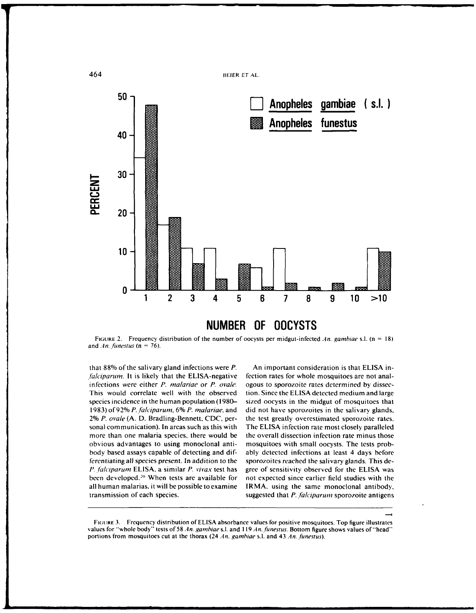

**NUMBER OF OOCYSTS**

FIGURE 2. Frequency distribution of the number of oocysts per midgut-infected .4n. gambiae s.l. (n = 18) and  $An.$  *funestus*  $(n = 76)$ .

*falciparum.* It is likely that the ELISA-negative fection rates for whole mosquitoes are not analinfections were either P. *malariae* or P. *ovale*. ogous to sporozoite rates determined by dissec-This would correlate well with the observed tion. Since the ELISA detected medium and large species incidence in the human population (1980- sized oocysts in the midgut of mosquitoes that 1983) of 92% P. *falciparun,* **6%** P. inalariae, and did not have sporozoites in the salivary glands. 2% P. ovale (A. D. Bradling-Bennett, CDC, per- the test greatly overestimated sporozoite rates. sonal communication). In areas such as this with The ELISA infection rate most closely paralleled more than one malaria species, there would be the overall dissection infection rate minus those obvious advantages to using monoclonal anti- mosquitoes with small oocysts. The tests probbody based assays capable of detecting and dif- ably detected infections at least 4 days before ferentiating all species present. In addition to the sporozoites reached the salivary glands. This **de-***P..falciparum* ELISA. a similar P. vivax test has gree of sensitivity observed for the ELISA was been developed.<sup>20</sup> When tests are available for all human malarias. it will be possible to examine IRMA, using the same monoclonal antibody. transmission of each species. suggested that *P. falciparum* sporozoite antigens

that **88%** of the salivary gland infections were P. An important consideration is that ELISA innot expected since earlier field studies with the

FIGURE 3. Frequency distribution of ELISA absorbance values for positive mosquitoes. Top figure illustrates values for "whole body" tests of 58 *An. gambiae* s.l. and 119 *An. funestus.* Bottom figure shows values of "head" portions from mosquitoes cut at the thorax (24 *An. gambiae* s.l. and 43 *An. funestus*).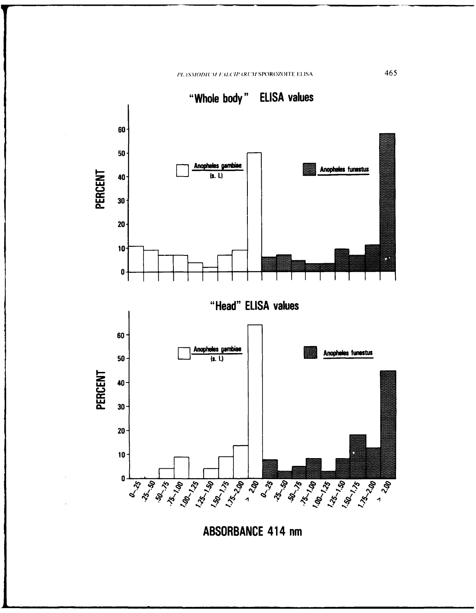PLASMODIUM FALCIPARUM SPOROZOITE ELISA



**ABSORBANCE 414 nm** 

465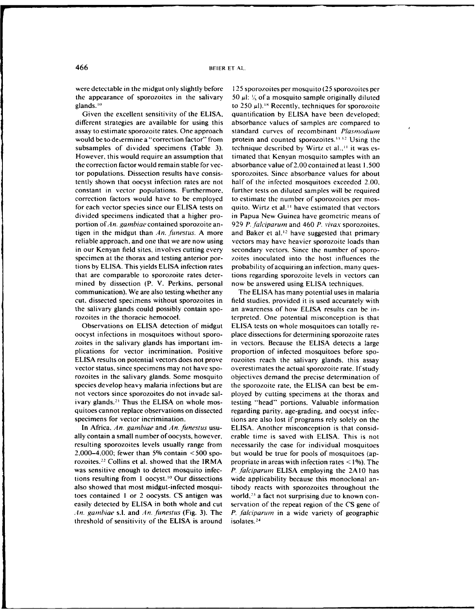the appearance of sporozoites in the salivary  $50 \mu$ :  $\frac{1}{2}$ , of a mosquito sample originally diluted glands.<sup>10</sup>

different strategies are available for using this absorbance values of samples are compared to assay to estimate sporozoite rates. One approach standard curves of recombinant Plasmodium would be to determine a "correction factor" from protein and counted sporozoites.<sup>11.12</sup> Using the subsamples of divided specimens (Table 3). technique described by Wirtz et al.,<sup>11</sup> it was es-However, this would require an assumption that timated that Kenyan mosquito samples with an the correction factor would remain stable for vec- absorbance value of2.00 contained at least 1,500 tor populations. Dissection results have consis- sporozoites. Since absorbance values for about tently shown that oocyst infection rates are not half of the infected mosquitoes exceeded 2.00, constant in vector populations. Furthermore, further tests on diluted samples will be required correction factors would have to be employed to estimate the number of sporozoites per mosfor each vector species since our ELISA tests on quito. Wirtz et al.<sup>11</sup> have estimated that vectors divided specimens indicated that a higher pro- in Papua New Guinea have geometric means of portion ofAn. gambiae contained sporozoite an- 929 P. *falciparum* and 460 P. *vivax* sporozoites, tigen in the midgut than An. funestus. A more and Baker et al.<sup>12</sup> have suggested that primary reliable approach, and one that we are now using vectors may have heavier sporozoite loads than in our Kenyan field sites, involves cutting every secondary vectors. Since the number of sporospecimen at the thorax and testing anterior por- zoites inoculated into the host influences the tions by ELISA. This yields ELISA infection rates probability of acquiring an infection, many questhat are comparable to sporozoite rates deter- tions regarding sporozoite levels in vectors can mined by dissection (P. V. Perkins, personal now be answered using ELISA techniques. communication). We are also testing whether any The ELISA has many potential uses in malaria cut, dissected specimens without sporozoites in field studies, provided it is used accurately with the salivary glands could possibly contain spo- an awareness of how ELISA results can be in-

oocyst infections in mosquitoes without sporo- place dissections for determining sporozoite rates zoites in the salivary glands has important im- in vectors. Because the ELISA detects a large plications for vector incrimination. Positive proportion of infected mosquitoes before spo-ELISA results on potential vectors does not prove rozoites reach the salivary glands, this assay vector status, since specimens may not have spo- overestimates the actual sporozoite rate. Ifstudy rozoites in the salivary glands. Some mosquito objectives demand the precise determination of species develop heavy malaria infections but are the sporozoite rate, the ELISA can best be emnot vectors since sporozoites do not invade sal- ployed by cutting specimens at the thorax and ivary glands.<sup>21</sup> Thus the ELISA on whole mosquitoes cannot replace observations on dissected regarding parity, age-grading, and oocyst infec-

ally contain a small number ofoocysts, however, erable time is saved with ELISA. This is not resulting sporozoites levels usually range from necessarily the case for individual mosquitoes 2,000-4,000: fewer than 5% contain <500 spo- but would be true for pools of mosquitoes (aprozoites.<sup>22</sup> Collins et al. showed that the IRMA propriate in areas with infection rates  $\leq$  1%). The was sensitive enough to detect mosquito infec- P. *falciparum* ELISA employing the 2AI0 has tions resulting from **I** oocyst.1° Our dissections wide applicability because this monoclonal analso showed that most midgut-infected mosqui- tibody reacts with sporozoites throughout the toes contained 1 or 2 oocysts. CS antigen was world,<sup>23</sup> a fact not surprising due to known coneasily detected by ELISA in both whole and cut servation of the repeat region of the CS gene of *.In.* ganbiae s.l. and An. funestus (Fig. 3). The P. falciparum in a wide variety of geographic threshold of sensitivity of the ELISA is around isolates.24-

were detectable in the midgut only slightly before 125 sporozoites per mosquito **(25** sporozoites per to 250  $\mu$ l).<sup>18</sup> Recently, techniques for sporozoite Given the excellent sensitivity of the ELISA, quantification by ELISA have been developed;

rozoites in the thoracic hemocoel. terpreted. One potential misconception is that Observations on ELISA detection of midgut ELISA tests on whole mosquitoes can totally retesting "head" portions. Valuable information specimens for vector incrimination. tions are also lost if programs rely solely on the In Africa, An. gambiae and An. funestus usu- ELISA. Another misconception is that consid-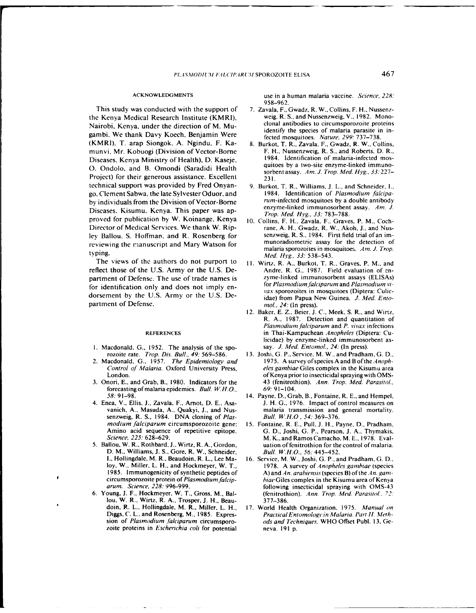This study was conducted with the support of 7. Zavala, F., Gwadz, R. W., Collins, F. H., Nussenzthe Kenya Medical Research Institute (KMRI), weig, R. S., and Nussenzweig, V., 1982. Mono-<br>Nairobi, Kenya, under the direction of M. Musicolal antibodies to circumsporozoite proteins Nairobi, Kenya, under the direction of M. Mugambi. We thank Davy Koech, Benjamin Were (KMRI), T. arap Siongok, A. Ngindu, F. Ka- 8. Burkot, T. R., Zavala, F., Gwadz, R. W., Collins, munvi, Mr. Kobuogi (Division of Vector-Borne F. H., Nussenzweig, R. S., and Roberts, D. R.,<br>Diseases Kanua Ministru of Haalth), D. Kassis. [1984]. Identification of malaria-infected mos-Diseases, Kenya Ministry of Health), D. Kaseje, <sup>1984</sup>. Identification of malaria-infected mos-<br>Q. Q. dalah sarat D. Quanneli (Sanadidi, Usalthermus quitoes by a two-site enzyme-linked immuno-**O.** Ondolo, and B. Omondi (Saradidi Health Project) for their generous assistance. Excellent technical support was provided by Fred Onyan- 9. Burkot, T. R., Williams, **J.** L., and Schneider, I., go. Clement Sabwa. the late Sylvester Oduor, and 1984. Identification of *Plasmodium falcipa*by individuals from the Division of Vector-Borne<br>Diseases, Kisumu, Kenya. This paper was ap-<br> $Trop. Med. Hyg. 33: 783-788.$ proved for publication by W. Koinange, Kenya 10. Collins, F. H., Zavala, F., Graves, P. M., Coch-Director of Medical Services. We thank W. Rip-<br>lev Ballou, S. Hoffman, and R. Rosenberg for senzweig, R. S., 1984. First field trial of an imley Ballou. S. Hoffman, and R. Rosenberg for senzweig, R. **S.,** 1984. First field trial ofan imreviewing the manuscript and Mary Watson for

The views of the authors do not purport to II. Wirtz, R. A., Burkot, T. R., Graves, P. M., and reflect those of the U.S. Army or the U.S. De- Andre, R. **G.,** 1987. Field evaluation of enpartment of Defense. The use of trade names is zyme-linked immunosorbent assays (ELISAs)<br>for identification only and does not imply an for Plasmodium falciparum and Plasmodium vifor identification only and does not imply en-<br>
vax sporozoites in mosquitoes (Diptera: Culicdorsement by the U.S. Army or the U.S. De-<br>idae) from Papua New Guinea. J. Med. Entopartment of Defense.  $mol.$  24: (In press).

- rozoite rate. Trop. Dis. Bull., 49: 569-586. 13. Joshi, G. P., Service, M. W., and Pradham, G. **D.,**
- Control of *Malaria*. Oxford University Press,
- 3. Onori, E., and Grab, B., 1980. Indicators for the forecasting of malaria epidemics. Bull. W.H.O., 69: 91-104.
- 4. Enea, V., Ellis, J., Zavala, F., Arnot, D. E., Asasenzweig, R. S., 1984. DNA cloning of Plas-<br>modium falciparum circumsporozoite gene: 15. Fontaine. R. E., Pull. J. H., P.
- D. M., Williams, **J. S.,** Gore, R. W., Schneider, Bull. WH.O.. **56:** 445-452. I., Hollingdale, M. R., Beaudoin, R. L., Lee Ma- 16. Service, M. W., Joshi, G. P., and Pradham, G. **D.,**
- lou, W. R.. Wirtz, R. **A.,** Trosper, **J. H.,** Beau- 377-386. doin, R. L., Hollingdale, M. R., Miller, L. H., 17. World Health Organization, 1975. *Manual* on zoite proteins in *Escherichia coli* for potential neva. 191 p.

ACKNOWLEDGMENTS use in a human malaria vaccine. *Science,* 228: 958-962.

- identify the species of malaria parasite in in-<br>fected mosquitoes. Nature, 299: 737-738.
- sorbent assay. *Am. J. Trop. Med.* Hyg.. *33:227-*
- 
- malaria sporozoites in mosquitoes. *Am. J. Trop.* typing. *Med. Hig.,* **33:** 538-543.
	-
- 12. Baker, E. Z., Beier, **J.** C., Meek, S. R., and Wirtz, R. A., 1987. Detection and quantitation of Plasmodium falciparum and P. vivax infections REFERENCES in Thai-Kampuchean *Anopheles* (Diptera: Culicidae) by enzyme-linked immunosorbent as-I. Macdonald, **G.,** 1952. The analysis of the spo- say. J. Med. Entomol., 24: (In press).
- 2. Macdonald, G., 1957. *The Epidemiology and* 1975. A survey of species A and B of the *Anoph-*<br>Control of Malaria. Oxford University Press. eles gambiae Giles complex in the Kisumu area London.<br>nori, E., and Grab, B., 1980. Indicators for the 43 (fenitrothion). Ann. Trop. Med. Parasitol.
	- 58: 91-98. 14. Payne, **D.,** Grab, B., Fontaine, R. **E.,** and Hempel, vanich, **A.,** Masuda, A., Quakyi, **J.,** and Nus- malaria transmission and general mortality.
- 15. Fontaine, R. E., Pull, J. H., Payne, D., Pradham, Amino acid sequence of repetitive epitope. G. D., Joshi, G. P., Pearson, J. A., Thymakis.<br>Science, 225: 628–629. M. K., and Ramos Camacho, M. E., 1978. Eval-M. K., and Ramos Camacho, M. E., 1978. Eval-5. Ballou, W. R., Rothbard, **J..** Wirtz, R. A., Gordon, uation of fenitrothion for the control of malaria.
- loy. W., Miller, L. H., and Hockmeyer, W. T., 1978. A survey of Anopheles gambiae (species 1985. Immunogenicity of synthetic peptides of A) and An. arabiensis (species B) of the .1In. *gam*circumsporozoite protein of *Plasmodiumfalcip-* hiaeGiles complex in the Kisumu area of Kenya arum. Science, 228: 996-999. following insecticidal spraying with OMS-43 6. Young, J. F., Hockmeyer, W. T., Gross, M., Bal- (fenitrothion). *Ann. Trop. Med. Parasitol..* **72:**
	- Diggs, C. L., and Rosenberg, M., 1985. Expres- Practical Entomology in Malaria. Part *II.* Methsion of Plasmodium falciparum circumsporo- ods and Techniques. WHO Offset Publ. 13, Ge-